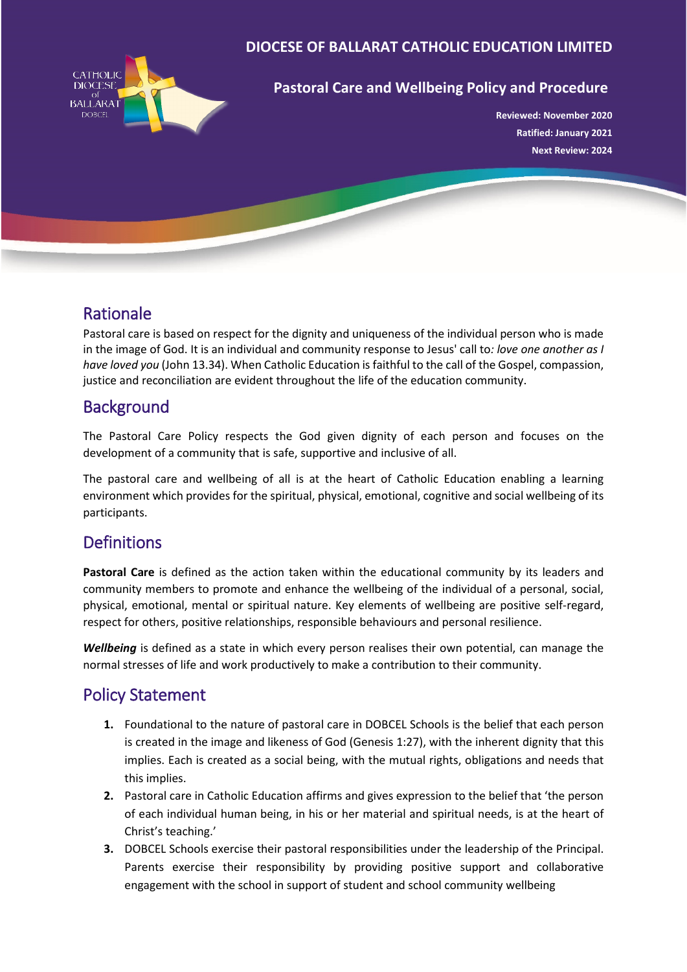

#### **DIOCESE OF BALLARAT CATHOLIC EDUCATION LIMITED**

#### **Pastoral Care and Wellbeing Policy and Procedure**

**Reviewed: November 2020 Ratified: January 2021 Next Review: 2024**

## Rationale

Pastoral care is based on respect for the dignity and uniqueness of the individual person who is made in the image of God. It is an individual and community response to Jesus' call to*: love one another as I have loved you* (John 13.34). When Catholic Education is faithful to the call of the Gospel, compassion, justice and reconciliation are evident throughout the life of the education community.

## **Background**

The Pastoral Care Policy respects the God given dignity of each person and focuses on the development of a community that is safe, supportive and inclusive of all.

The pastoral care and wellbeing of all is at the heart of Catholic Education enabling a learning environment which provides for the spiritual, physical, emotional, cognitive and social wellbeing of its participants.

## **Definitions**

**Pastoral Care** is defined as the action taken within the educational community by its leaders and community members to promote and enhance the wellbeing of the individual of a personal, social, physical, emotional, mental or spiritual nature. Key elements of wellbeing are positive self-regard, respect for others, positive relationships, responsible behaviours and personal resilience.

*Wellbeing* is defined as a state in which every person realises their own potential, can manage the normal stresses of life and work productively to make a contribution to their community.

## Policy Statement

- **1.** Foundational to the nature of pastoral care in DOBCEL Schools is the belief that each person is created in the image and likeness of God (Genesis 1:27), with the inherent dignity that this implies. Each is created as a social being, with the mutual rights, obligations and needs that this implies.
- **2.** Pastoral care in Catholic Education affirms and gives expression to the belief that 'the person of each individual human being, in his or her material and spiritual needs, is at the heart of Christ's teaching.'
- **3.** DOBCEL Schools exercise their pastoral responsibilities under the leadership of the Principal. Parents exercise their responsibility by providing positive support and collaborative engagement with the school in support of student and school community wellbeing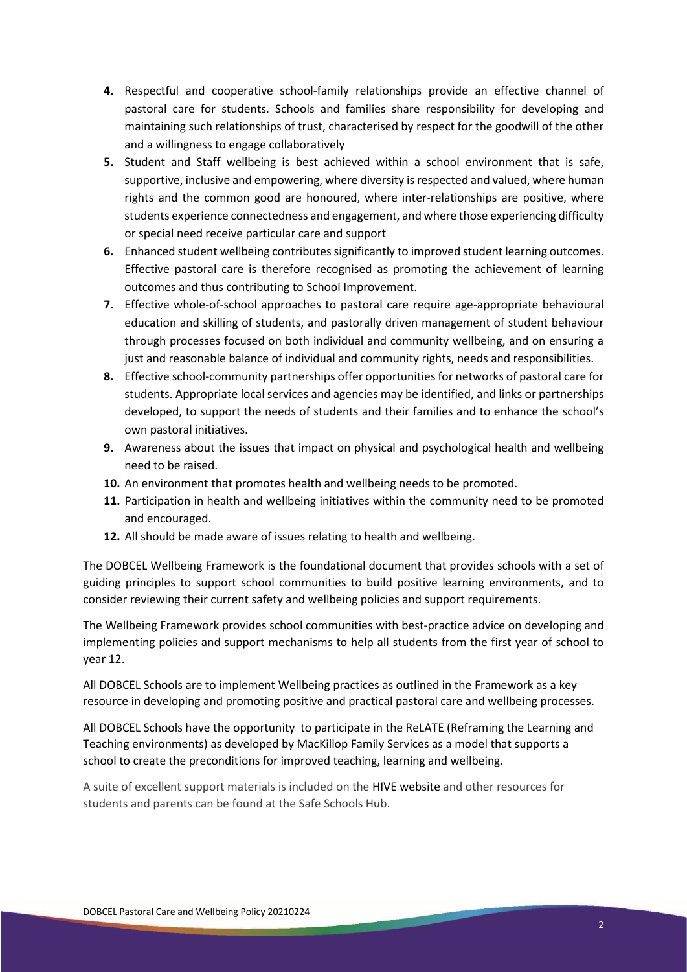- **4.** Respectful and cooperative school-family relationships provide an effective channel of pastoral care for students. Schools and families share responsibility for developing and maintaining such relationships of trust, characterised by respect for the goodwill of the other and a willingness to engage collaboratively
- **5.** Student and Staff wellbeing is best achieved within a school environment that is safe, supportive, inclusive and empowering, where diversity is respected and valued, where human rights and the common good are honoured, where inter-relationships are positive, where students experience connectedness and engagement, and where those experiencing difficulty or special need receive particular care and support
- **6.** Enhanced student wellbeing contributes significantly to improved student learning outcomes. Effective pastoral care is therefore recognised as promoting the achievement of learning outcomes and thus contributing to School Improvement.
- **7.** Effective whole-of-school approaches to pastoral care require age-appropriate behavioural education and skilling of students, and pastorally driven management of student behaviour through processes focused on both individual and community wellbeing, and on ensuring a just and reasonable balance of individual and community rights, needs and responsibilities.
- **8.** Effective school-community partnerships offer opportunities for networks of pastoral care for students. Appropriate local services and agencies may be identified, and links or partnerships developed, to support the needs of students and their families and to enhance the school's own pastoral initiatives.
- **9.** Awareness about the issues that impact on physical and psychological health and wellbeing need to be raised.
- **10.** An environment that promotes health and wellbeing needs to be promoted.
- **11.** Participation in health and wellbeing initiatives within the community need to be promoted and encouraged.
- **12.** All should be made aware of issues relating to health and wellbeing.

The DOBCEL Wellbeing Framework is the foundational document that provides schools with a set of guiding principles to support school communities to build positive learning environments, and to consider reviewing their current safety and wellbeing policies and support requirements.

The Wellbeing Framework provides school communities with best-practice advice on developing and implementing policies and support mechanisms to help all students from the first year of school to year 12.

All DOBCEL Schools are to implement Wellbeing practices as outlined in the Framework as a key resource in developing and promoting positive and practical pastoral care and wellbeing processes.

All DOBCEL Schools have the opportunity to participate in the ReLATE (Reframing the Learning and Teaching environments) as developed by MacKillop Family Services as a model that supports a school to create the preconditions for improved teaching, learning and wellbeing.

A suite of excellent support materials is included on the HIVE website and other resources for students and parents can be found at the Safe Schools Hub.